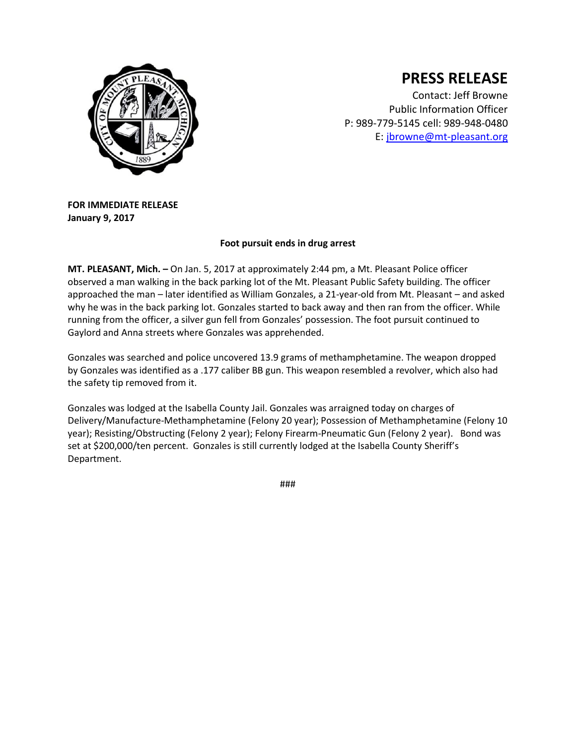

## **PRESS RELEASE**

Contact: Jeff Browne Public Information Officer P: 989-779-5145 cell: 989-948-0480 E: [jbrowne@mt-pleasant.org](mailto:jbrowne@mt-pleasant.org)

**FOR IMMEDIATE RELEASE January 9, 2017**

## **Foot pursuit ends in drug arrest**

**MT. PLEASANT, Mich. –** On Jan. 5, 2017 at approximately 2:44 pm, a Mt. Pleasant Police officer observed a man walking in the back parking lot of the Mt. Pleasant Public Safety building. The officer approached the man – later identified as William Gonzales, a 21-year-old from Mt. Pleasant – and asked why he was in the back parking lot. Gonzales started to back away and then ran from the officer. While running from the officer, a silver gun fell from Gonzales' possession. The foot pursuit continued to Gaylord and Anna streets where Gonzales was apprehended.

Gonzales was searched and police uncovered 13.9 grams of methamphetamine. The weapon dropped by Gonzales was identified as a .177 caliber BB gun. This weapon resembled a revolver, which also had the safety tip removed from it.

Gonzales was lodged at the Isabella County Jail. Gonzales was arraigned today on charges of Delivery/Manufacture-Methamphetamine (Felony 20 year); Possession of Methamphetamine (Felony 10 year); Resisting/Obstructing (Felony 2 year); Felony Firearm-Pneumatic Gun (Felony 2 year). Bond was set at \$200,000/ten percent. Gonzales is still currently lodged at the Isabella County Sheriff's Department.

###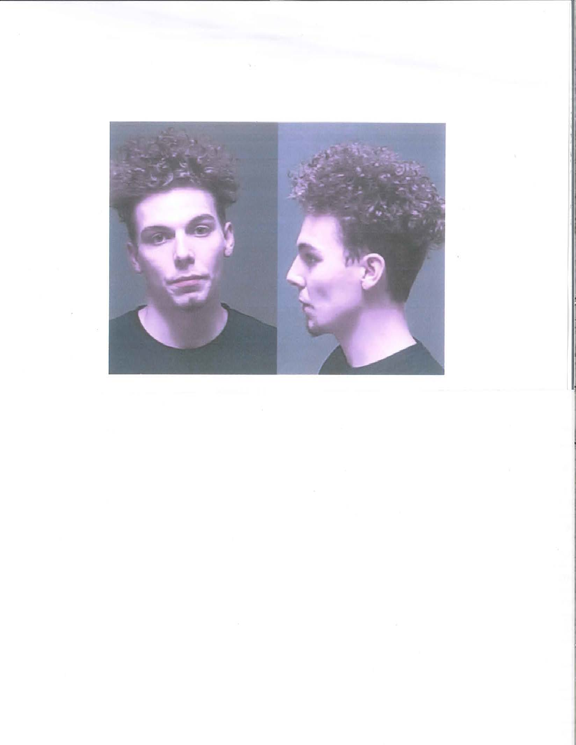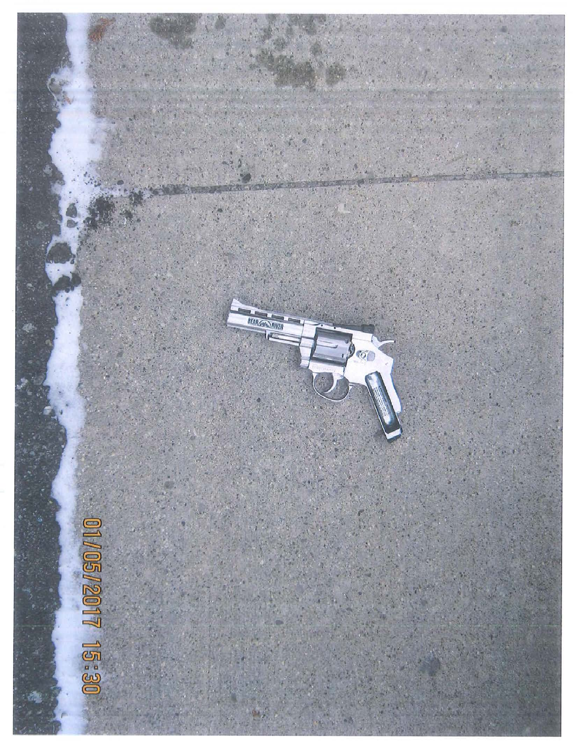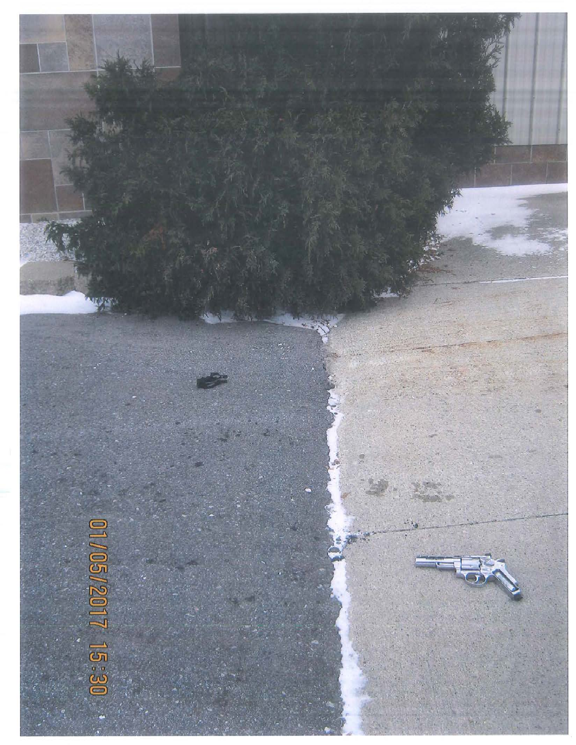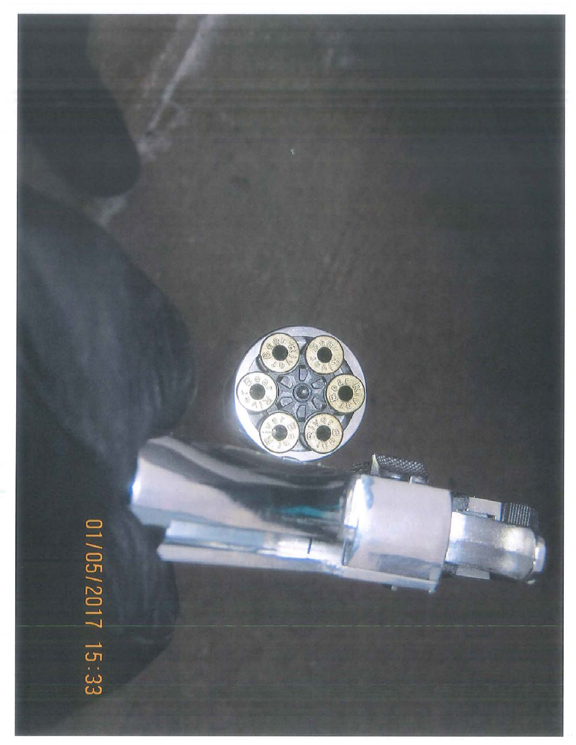